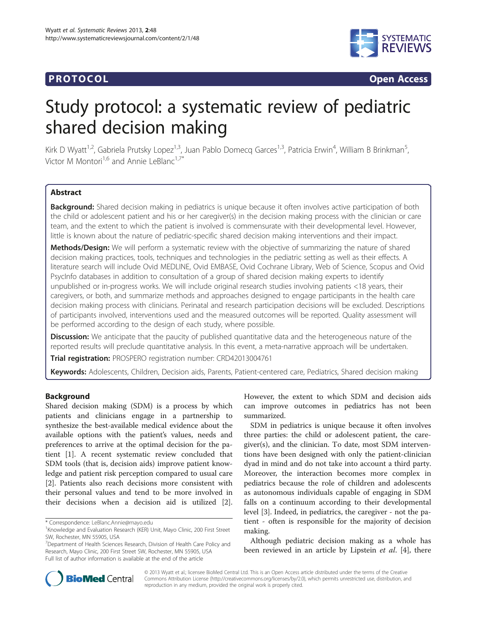# **PROTOCOL CONSUMING ACCESS CONSUMING ACCESS**



# Study protocol: a systematic review of pediatric shared decision making

Kirk D Wyatt<sup>1,2</sup>, Gabriela Prutsky Lopez<sup>1,3</sup>, Juan Pablo Domecq Garces<sup>1,3</sup>, Patricia Erwin<sup>4</sup>, William B Brinkman<sup>5</sup> , Victor M Montori<sup>1,6</sup> and Annie LeBlanc<sup>1,7\*</sup>

# Abstract

Background: Shared decision making in pediatrics is unique because it often involves active participation of both the child or adolescent patient and his or her caregiver(s) in the decision making process with the clinician or care team, and the extent to which the patient is involved is commensurate with their developmental level. However, little is known about the nature of pediatric-specific shared decision making interventions and their impact.

Methods/Design: We will perform a systematic review with the objective of summarizing the nature of shared decision making practices, tools, techniques and technologies in the pediatric setting as well as their effects. A literature search will include Ovid MEDLINE, Ovid EMBASE, Ovid Cochrane Library, Web of Science, Scopus and Ovid PsycInfo databases in addition to consultation of a group of shared decision making experts to identify unpublished or in-progress works. We will include original research studies involving patients <18 years, their caregivers, or both, and summarize methods and approaches designed to engage participants in the health care decision making process with clinicians. Perinatal and research participation decisions will be excluded. Descriptions of participants involved, interventions used and the measured outcomes will be reported. Quality assessment will be performed according to the design of each study, where possible.

**Discussion:** We anticipate that the paucity of published quantitative data and the heterogeneous nature of the reported results will preclude quantitative analysis. In this event, a meta-narrative approach will be undertaken.

Trial registration: PROSPERO registration number: [CRD42013004761](http://www.crd.york.ac.uk/PROSPERO/display_record.asp?ID=CRD42013004761)

Keywords: Adolescents, Children, Decision aids, Parents, Patient-centered care, Pediatrics, Shared decision making

# Background

Shared decision making (SDM) is a process by which patients and clinicians engage in a partnership to synthesize the best-available medical evidence about the available options with the patient's values, needs and preferences to arrive at the optimal decision for the patient [[1\]](#page-3-0). A recent systematic review concluded that SDM tools (that is, decision aids) improve patient knowledge and patient risk perception compared to usual care [[2\]](#page-3-0). Patients also reach decisions more consistent with their personal values and tend to be more involved in their decisions when a decision aid is utilized [\[2](#page-3-0)].

However, the extent to which SDM and decision aids can improve outcomes in pediatrics has not been summarized.

SDM in pediatrics is unique because it often involves three parties: the child or adolescent patient, the caregiver(s), and the clinician. To date, most SDM interventions have been designed with only the patient-clinician dyad in mind and do not take into account a third party. Moreover, the interaction becomes more complex in pediatrics because the role of children and adolescents as autonomous individuals capable of engaging in SDM falls on a continuum according to their developmental level [\[3](#page-3-0)]. Indeed, in pediatrics, the caregiver - not the patient - often is responsible for the majority of decision making.

Although pediatric decision making as a whole has been reviewed in an article by Lipstein *et al.* [\[4](#page-3-0)], there



© 2013 Wyatt et al.; licensee BioMed Central Ltd. This is an Open Access article distributed under the terms of the Creative Commons Attribution License [\(http://creativecommons.org/licenses/by/2.0\)](http://creativecommons.org/licenses/by/2.0), which permits unrestricted use, distribution, and reproduction in any medium, provided the original work is properly cited.

<sup>\*</sup> Correspondence: [LeBlanc.Annie@mayo.edu](mailto:LeBlanc.Annie@mayo.edu) <sup>1</sup>

<sup>&</sup>lt;sup>1</sup> Knowledge and Evaluation Research (KER) Unit, Mayo Clinic, 200 First Street SW, Rochester, MN 55905, USA

<sup>&</sup>lt;sup>7</sup>Department of Health Sciences Research, Division of Health Care Policy and Research, Mayo Clinic, 200 First Street SW, Rochester, MN 55905, USA Full list of author information is available at the end of the article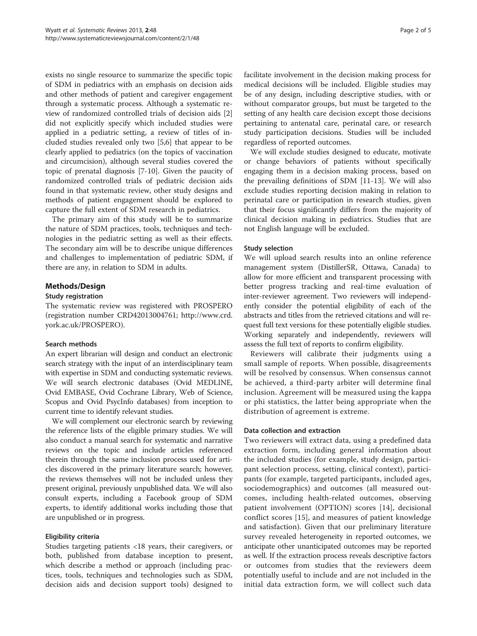exists no single resource to summarize the specific topic of SDM in pediatrics with an emphasis on decision aids and other methods of patient and caregiver engagement through a systematic process. Although a systematic review of randomized controlled trials of decision aids [\[2](#page-3-0)] did not explicitly specify which included studies were applied in a pediatric setting, a review of titles of included studies revealed only two [[5,6\]](#page-3-0) that appear to be clearly applied to pediatrics (on the topics of vaccination and circumcision), although several studies covered the topic of prenatal diagnosis [[7-10](#page-3-0)]. Given the paucity of randomized controlled trials of pediatric decision aids found in that systematic review, other study designs and methods of patient engagement should be explored to capture the full extent of SDM research in pediatrics.

The primary aim of this study will be to summarize the nature of SDM practices, tools, techniques and technologies in the pediatric setting as well as their effects. The secondary aim will be to describe unique differences and challenges to implementation of pediatric SDM, if there are any, in relation to SDM in adults.

# Methods/Design

## Study registration

The systematic review was registered with PROSPERO (registration number CRD42013004761; [http://www.crd.](http://www.crd.york.ac.uk/PROSPERO) [york.ac.uk/PROSPERO\)](http://www.crd.york.ac.uk/PROSPERO).

# Search methods

An expert librarian will design and conduct an electronic search strategy with the input of an interdisciplinary team with expertise in SDM and conducting systematic reviews. We will search electronic databases (Ovid MEDLINE, Ovid EMBASE, Ovid Cochrane Library, Web of Science, Scopus and Ovid PsycInfo databases) from inception to current time to identify relevant studies.

We will complement our electronic search by reviewing the reference lists of the eligible primary studies. We will also conduct a manual search for systematic and narrative reviews on the topic and include articles referenced therein through the same inclusion process used for articles discovered in the primary literature search; however, the reviews themselves will not be included unless they present original, previously unpublished data. We will also consult experts, including a Facebook group of SDM experts, to identify additional works including those that are unpublished or in progress.

# Eligibility criteria

Studies targeting patients <18 years, their caregivers, or both, published from database inception to present, which describe a method or approach (including practices, tools, techniques and technologies such as SDM, decision aids and decision support tools) designed to facilitate involvement in the decision making process for medical decisions will be included. Eligible studies may be of any design, including descriptive studies, with or without comparator groups, but must be targeted to the setting of any health care decision except those decisions pertaining to antenatal care, perinatal care, or research study participation decisions. Studies will be included regardless of reported outcomes.

We will exclude studies designed to educate, motivate or change behaviors of patients without specifically engaging them in a decision making process, based on the prevailing definitions of SDM [\[11](#page-3-0)-[13\]](#page-3-0). We will also exclude studies reporting decision making in relation to perinatal care or participation in research studies, given that their focus significantly differs from the majority of clinical decision making in pediatrics. Studies that are not English language will be excluded.

## Study selection

We will upload search results into an online reference management system (DistillerSR, Ottawa, Canada) to allow for more efficient and transparent processing with better progress tracking and real-time evaluation of inter-reviewer agreement. Two reviewers will independently consider the potential eligibility of each of the abstracts and titles from the retrieved citations and will request full text versions for these potentially eligible studies. Working separately and independently, reviewers will assess the full text of reports to confirm eligibility.

Reviewers will calibrate their judgments using a small sample of reports. When possible, disagreements will be resolved by consensus. When consensus cannot be achieved, a third-party arbiter will determine final inclusion. Agreement will be measured using the kappa or phi statistics, the latter being appropriate when the distribution of agreement is extreme.

# Data collection and extraction

Two reviewers will extract data, using a predefined data extraction form, including general information about the included studies (for example, study design, participant selection process, setting, clinical context), participants (for example, targeted participants, included ages, sociodemographics) and outcomes (all measured outcomes, including health-related outcomes, observing patient involvement (OPTION) scores [\[14](#page-3-0)], decisional conflict scores [\[15](#page-4-0)], and measures of patient knowledge and satisfaction). Given that our preliminary literature survey revealed heterogeneity in reported outcomes, we anticipate other unanticipated outcomes may be reported as well. If the extraction process reveals descriptive factors or outcomes from studies that the reviewers deem potentially useful to include and are not included in the initial data extraction form, we will collect such data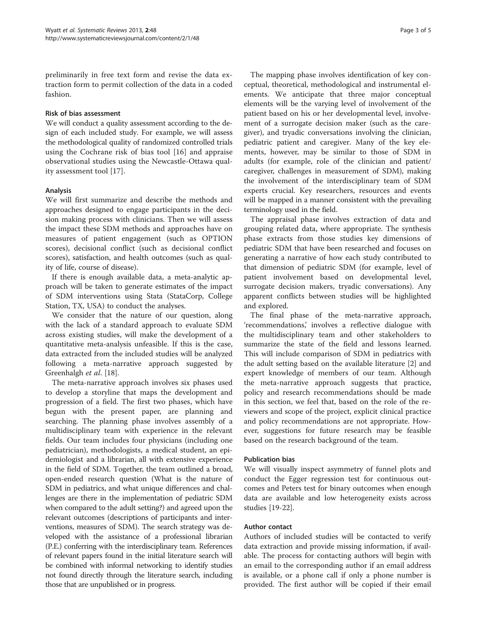preliminarily in free text form and revise the data extraction form to permit collection of the data in a coded fashion.

# Risk of bias assessment

We will conduct a quality assessment according to the design of each included study. For example, we will assess the methodological quality of randomized controlled trials using the Cochrane risk of bias tool [[16\]](#page-4-0) and appraise observational studies using the Newcastle-Ottawa quality assessment tool [[17\]](#page-4-0).

# Analysis

We will first summarize and describe the methods and approaches designed to engage participants in the decision making process with clinicians. Then we will assess the impact these SDM methods and approaches have on measures of patient engagement (such as OPTION scores), decisional conflict (such as decisional conflict scores), satisfaction, and health outcomes (such as quality of life, course of disease).

If there is enough available data, a meta-analytic approach will be taken to generate estimates of the impact of SDM interventions using Stata (StataCorp, College Station, TX, USA) to conduct the analyses.

We consider that the nature of our question, along with the lack of a standard approach to evaluate SDM across existing studies, will make the development of a quantitative meta-analysis unfeasible. If this is the case, data extracted from the included studies will be analyzed following a meta-narrative approach suggested by Greenhalgh et al. [[18](#page-4-0)].

The meta-narrative approach involves six phases used to develop a storyline that maps the development and progression of a field. The first two phases, which have begun with the present paper, are planning and searching. The planning phase involves assembly of a multidisciplinary team with experience in the relevant fields. Our team includes four physicians (including one pediatrician), methodologists, a medical student, an epidemiologist and a librarian, all with extensive experience in the field of SDM. Together, the team outlined a broad, open-ended research question (What is the nature of SDM in pediatrics, and what unique differences and challenges are there in the implementation of pediatric SDM when compared to the adult setting?) and agreed upon the relevant outcomes (descriptions of participants and interventions, measures of SDM). The search strategy was developed with the assistance of a professional librarian (P.E.) conferring with the interdisciplinary team. References of relevant papers found in the initial literature search will be combined with informal networking to identify studies not found directly through the literature search, including those that are unpublished or in progress.

The mapping phase involves identification of key conceptual, theoretical, methodological and instrumental elements. We anticipate that three major conceptual elements will be the varying level of involvement of the patient based on his or her developmental level, involvement of a surrogate decision maker (such as the caregiver), and tryadic conversations involving the clinician, pediatric patient and caregiver. Many of the key elements, however, may be similar to those of SDM in adults (for example, role of the clinician and patient/ caregiver, challenges in measurement of SDM), making the involvement of the interdisciplinary team of SDM experts crucial. Key researchers, resources and events will be mapped in a manner consistent with the prevailing terminology used in the field.

The appraisal phase involves extraction of data and grouping related data, where appropriate. The synthesis phase extracts from those studies key dimensions of pediatric SDM that have been researched and focuses on generating a narrative of how each study contributed to that dimension of pediatric SDM (for example, level of patient involvement based on developmental level, surrogate decision makers, tryadic conversations). Any apparent conflicts between studies will be highlighted and explored.

The final phase of the meta-narrative approach, 'recommendations,' involves a reflective dialogue with the multidisciplinary team and other stakeholders to summarize the state of the field and lessons learned. This will include comparison of SDM in pediatrics with the adult setting based on the available literature [\[2](#page-3-0)] and expert knowledge of members of our team. Although the meta-narrative approach suggests that practice, policy and research recommendations should be made in this section, we feel that, based on the role of the reviewers and scope of the project, explicit clinical practice and policy recommendations are not appropriate. However, suggestions for future research may be feasible based on the research background of the team.

#### Publication bias

We will visually inspect asymmetry of funnel plots and conduct the Egger regression test for continuous outcomes and Peters test for binary outcomes when enough data are available and low heterogeneity exists across studies [\[19-22](#page-4-0)].

#### Author contact

Authors of included studies will be contacted to verify data extraction and provide missing information, if available. The process for contacting authors will begin with an email to the corresponding author if an email address is available, or a phone call if only a phone number is provided. The first author will be copied if their email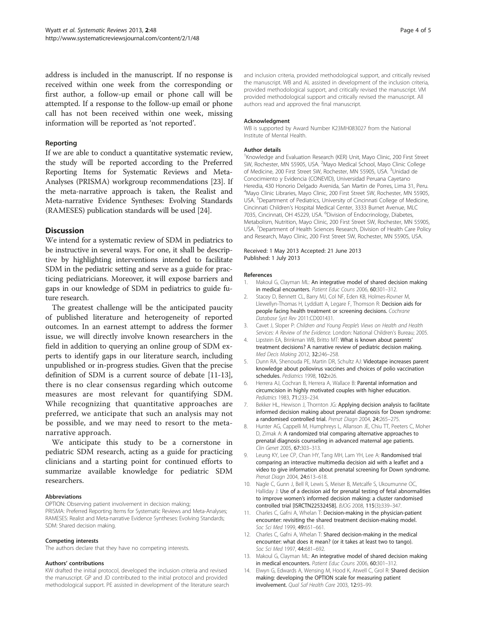<span id="page-3-0"></span>address is included in the manuscript. If no response is received within one week from the corresponding or first author, a follow-up email or phone call will be attempted. If a response to the follow-up email or phone call has not been received within one week, missing information will be reported as 'not reported'.

#### Reporting

If we are able to conduct a quantitative systematic review, the study will be reported according to the Preferred Reporting Items for Systematic Reviews and Meta-Analyses (PRISMA) workgroup recommendations [\[23\]](#page-4-0). If the meta-narrative approach is taken, the Realist and Meta-narrative Evidence Syntheses: Evolving Standards (RAMESES) publication standards will be used [[24](#page-4-0)].

# **Discussion**

We intend for a systematic review of SDM in pediatrics to be instructive in several ways. For one, it shall be descriptive by highlighting interventions intended to facilitate SDM in the pediatric setting and serve as a guide for practicing pediatricians. Moreover, it will expose barriers and gaps in our knowledge of SDM in pediatrics to guide future research.

The greatest challenge will be the anticipated paucity of published literature and heterogeneity of reported outcomes. In an earnest attempt to address the former issue, we will directly involve known researchers in the field in addition to querying an online group of SDM experts to identify gaps in our literature search, including unpublished or in-progress studies. Given that the precise definition of SDM is a current source of debate [11-13], there is no clear consensus regarding which outcome measures are most relevant for quantifying SDM. While recognizing that quantitative approaches are preferred, we anticipate that such an analysis may not be possible, and we may need to resort to the metanarrative approach.

We anticipate this study to be a cornerstone in pediatric SDM research, acting as a guide for practicing clinicians and a starting point for continued efforts to summarize available knowledge for pediatric SDM researchers.

#### Abbreviations

OPTION: Observing patient involvement in decision making; PRISMA: Preferred Reporting Items for Systematic Reviews and Meta-Analyses; RAMESES: Realist and Meta-narrative Evidence Syntheses: Evolving Standards; SDM: Shared decision making.

#### Competing interests

The authors declare that they have no competing interests.

#### Authors' contributions

KW drafted the initial protocol, developed the inclusion criteria and revised the manuscript. GP and JD contributed to the initial protocol and provided methodological support. PE assisted in development of the literature search

and inclusion criteria, provided methodological support, and critically revised the manuscript. WB and AL assisted in development of the inclusion criteria, provided methodological support, and critically revised the manuscript. VM provided methodological support and critically revised the manuscript. All authors read and approved the final manuscript.

#### Acknowledgment

WB is supported by Award Number K23MH083027 from the National Institute of Mental Health.

#### Author details

<sup>1</sup> Knowledge and Evaluation Research (KER) Unit, Mayo Clinic, 200 First Street SW, Rochester, MN 55905, USA. <sup>2</sup>Mayo Medical School, Mayo Clinic College of Medicine, 200 First Street SW, Rochester, MN 55905, USA. <sup>3</sup>Unidad de Conocimiento y Evidencia (CONEVID), Universidad Peruana Cayetano Heredia, 430 Honorio Delgado Avenida, San Martin de Porres, Lima 31, Peru. 4 Mayo Clinic Libraries, Mayo Clinic, 200 First Street SW, Rochester, MN 55905, USA. <sup>5</sup>Department of Pediatrics, University of Cincinnati College of Medicine Cincinnati Children's Hospital Medical Center, 3333 Burnet Avenue, MLC 7035, Cincinnati, OH 45229, USA. <sup>6</sup>Division of Endocrinology, Diabetes, Metabolism, Nutrition, Mayo Clinic, 200 First Street SW, Rochester, MN 55905, USA. <sup>7</sup> Department of Health Sciences Research, Division of Health Care Policy and Research, Mayo Clinic, 200 First Street SW, Rochester, MN 55905, USA.

#### Received: 1 May 2013 Accepted: 21 June 2013 Published: 1 July 2013

#### References

- 1. Makoul G, Clayman ML: An integrative model of shared decision making in medical encounters. Patient Educ Couns 2006, 60:301–312.
- Stacey D, Bennett CL, Barry MJ, Col NF, Eden KB, Holmes-Rovner M, Llewellyn-Thomas H, Lyddiatt A, Legare F, Thomson R: Decision aids for people facing health treatment or screening decisions. Cochrane Database Syst Rev 2011:CD001431.
- 3. Cavet J, Sloper P: Children and Young People's Views on Health and Health Services: A Review of the Evidence. London: National Children's Bureau; 2005.
- 4. Lipstein EA, Brinkman WB, Britto MT: What is known about parents' treatment decisions? A narrative review of pediatric decision making. Med Decis Making 2012, 32:246–258.
- 5. Dunn RA, Shenouda PE, Martin DR, Schultz AJ: Videotape increases parent knowledge about poliovirus vaccines and choices of polio vaccination schedules. Pediatrics 1998, 102:e26.
- 6. Herrera AJ, Cochran B, Herrera A, Wallace B: Parental information and circumcision in highly motivated couples with higher education. Pediatrics 1983, 71:233–234.
- 7. Bekker HL, Hewison J, Thornton JG: Applying decision analysis to facilitate informed decision making about prenatal diagnosis for Down syndrome: a randomised controlled trial. Prenat Diagn 2004, 24:265–275.
- 8. Hunter AG, Cappelli M, Humphreys L, Allanson JE, Chiu TT, Peeters C, Moher D, Zimak A: A randomized trial comparing alternative approaches to prenatal diagnosis counseling in advanced maternal age patients. Clin Genet 2005, 67:303–313.
- 9. Leung KY, Lee CP, Chan HY, Tang MH, Lam YH, Lee A: Randomised trial comparing an interactive multimedia decision aid with a leaflet and a video to give information about prenatal screening for Down syndrome. Prenat Diagn 2004, 24:613–618.
- 10. Nagle C, Gunn J, Bell R, Lewis S, Meiser B, Metcalfe S, Ukoumunne OC, Halliday J: Use of a decision aid for prenatal testing of fetal abnormalities to improve women's informed decision making: a cluster randomised controlled trial [ISRCTN22532458]. BJOG 2008, 115(3):339–347.
- 11. Charles C, Gafni A, Whelan T: Decision-making in the physician-patient encounter: revisiting the shared treatment decision-making model. Soc Sci Med 1999, 49:651-661.
- 12. Charles C, Gafni A, Whelan T: Shared decision-making in the medical encounter: what does it mean? (or it takes at least two to tango). Soc Sci Med 1997, 44:681-692.
- 13. Makoul G, Clayman ML: An integrative model of shared decision making in medical encounters. Patient Educ Couns 2006, 60:301–312.
- 14. Elwyn G, Edwards A, Wensing M, Hood K, Atwell C, Grol R: Shared decision making: developing the OPTION scale for measuring patient involvement. Qual Saf Health Care 2003, 12:93–99.